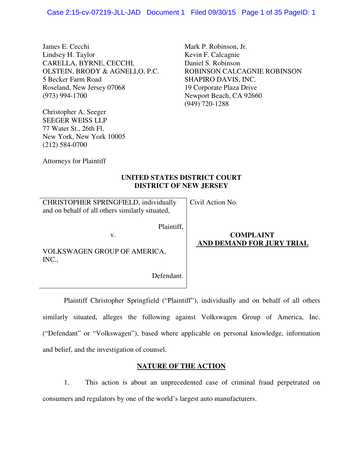James E. Cecchi Lindsey H. Taylor CARELLA, BYRNE, CECCHI, OLSTEIN, BRODY & AGNELLO, P.C. 5 Becker Farm Road Roseland, New Jersey 07068 (973) 994-1700

Christopher A. Seeger SEEGER WEISS LLP 77 Water St., 26th Fl. New York, New York 10005 (212) 584-0700

Mark P. Robinson, Jr. Kevin F. Calcagnie Daniel S. Robinson ROBINSON CALCAGNIE ROBINSON SHAPIRO DAVIS, INC. 19 Corporate Plaza Drive Newport Beach, CA 92660 (949) 720-1288

Attorneys for Plaintiff

## **UNITED STATES DISTRICT COURT DISTRICT OF NEW JERSEY**

| CHRISTOPHER SPRINGFIELD, individually<br>and on behalf of all others similarly situated, | Civil Action No.                              |
|------------------------------------------------------------------------------------------|-----------------------------------------------|
| Plaintiff,<br>v.<br>VOLKSWAGEN GROUP OF AMERICA,<br>INC.,                                | <b>COMPLAINT</b><br>AND DEMAND FOR JURY TRIAL |
| Defendant.                                                                               |                                               |

 Plaintiff Christopher Springfield ("Plaintiff"), individually and on behalf of all others similarly situated, alleges the following against Volkswagen Group of America, Inc. ("Defendant" or "Volkswagen"), based where applicable on personal knowledge, information and belief, and the investigation of counsel.

## **NATURE OF THE ACTION**

1. This action is about an unprecedented case of criminal fraud perpetrated on consumers and regulators by one of the world's largest auto manufacturers.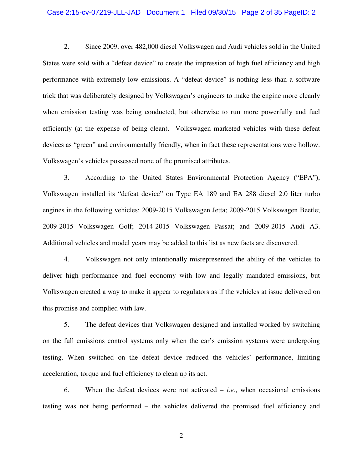## Case 2:15-cv-07219-JLL-JAD Document 1 Filed 09/30/15 Page 2 of 35 PageID: 2

2. Since 2009, over 482,000 diesel Volkswagen and Audi vehicles sold in the United States were sold with a "defeat device" to create the impression of high fuel efficiency and high performance with extremely low emissions. A "defeat device" is nothing less than a software trick that was deliberately designed by Volkswagen's engineers to make the engine more cleanly when emission testing was being conducted, but otherwise to run more powerfully and fuel efficiently (at the expense of being clean). Volkswagen marketed vehicles with these defeat devices as "green" and environmentally friendly, when in fact these representations were hollow. Volkswagen's vehicles possessed none of the promised attributes.

3. According to the United States Environmental Protection Agency ("EPA"), Volkswagen installed its "defeat device" on Type EA 189 and EA 288 diesel 2.0 liter turbo engines in the following vehicles: 2009-2015 Volkswagen Jetta; 2009-2015 Volkswagen Beetle; 2009-2015 Volkswagen Golf; 2014-2015 Volkswagen Passat; and 2009-2015 Audi A3. Additional vehicles and model years may be added to this list as new facts are discovered.

4. Volkswagen not only intentionally misrepresented the ability of the vehicles to deliver high performance and fuel economy with low and legally mandated emissions, but Volkswagen created a way to make it appear to regulators as if the vehicles at issue delivered on this promise and complied with law.

5. The defeat devices that Volkswagen designed and installed worked by switching on the full emissions control systems only when the car's emission systems were undergoing testing. When switched on the defeat device reduced the vehicles' performance, limiting acceleration, torque and fuel efficiency to clean up its act.

6. When the defeat devices were not activated – *i.e.*, when occasional emissions testing was not being performed – the vehicles delivered the promised fuel efficiency and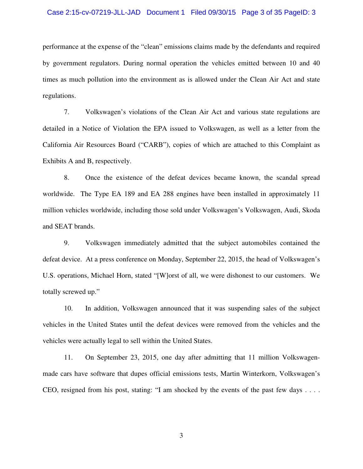## Case 2:15-cv-07219-JLL-JAD Document 1 Filed 09/30/15 Page 3 of 35 PageID: 3

performance at the expense of the "clean" emissions claims made by the defendants and required by government regulators. During normal operation the vehicles emitted between 10 and 40 times as much pollution into the environment as is allowed under the Clean Air Act and state regulations.

7. Volkswagen's violations of the Clean Air Act and various state regulations are detailed in a Notice of Violation the EPA issued to Volkswagen, as well as a letter from the California Air Resources Board ("CARB"), copies of which are attached to this Complaint as Exhibits A and B, respectively.

8. Once the existence of the defeat devices became known, the scandal spread worldwide. The Type EA 189 and EA 288 engines have been installed in approximately 11 million vehicles worldwide, including those sold under Volkswagen's Volkswagen, Audi, Skoda and SEAT brands.

9. Volkswagen immediately admitted that the subject automobiles contained the defeat device. At a press conference on Monday, September 22, 2015, the head of Volkswagen's U.S. operations, Michael Horn, stated "[W]orst of all, we were dishonest to our customers. We totally screwed up."

10. In addition, Volkswagen announced that it was suspending sales of the subject vehicles in the United States until the defeat devices were removed from the vehicles and the vehicles were actually legal to sell within the United States.

11. On September 23, 2015, one day after admitting that 11 million Volkswagenmade cars have software that dupes official emissions tests, Martin Winterkorn, Volkswagen's CEO, resigned from his post, stating: "I am shocked by the events of the past few days . . . .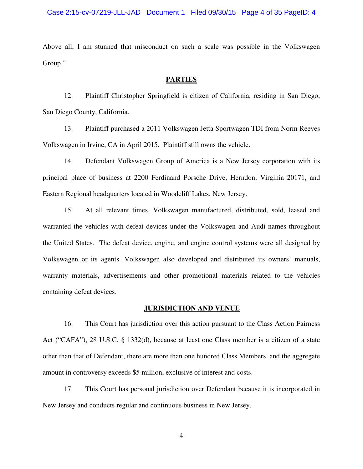Above all, I am stunned that misconduct on such a scale was possible in the Volkswagen Group."

## **PARTIES**

12. Plaintiff Christopher Springfield is citizen of California, residing in San Diego, San Diego County, California.

13. Plaintiff purchased a 2011 Volkswagen Jetta Sportwagen TDI from Norm Reeves Volkswagen in Irvine, CA in April 2015. Plaintiff still owns the vehicle.

14. Defendant Volkswagen Group of America is a New Jersey corporation with its principal place of business at 2200 Ferdinand Porsche Drive, Herndon, Virginia 20171, and Eastern Regional headquarters located in Woodcliff Lakes, New Jersey.

15. At all relevant times, Volkswagen manufactured, distributed, sold, leased and warranted the vehicles with defeat devices under the Volkswagen and Audi names throughout the United States. The defeat device, engine, and engine control systems were all designed by Volkswagen or its agents. Volkswagen also developed and distributed its owners' manuals, warranty materials, advertisements and other promotional materials related to the vehicles containing defeat devices.

#### **JURISDICTION AND VENUE**

16. This Court has jurisdiction over this action pursuant to the Class Action Fairness Act ("CAFA"), 28 U.S.C. § 1332(d), because at least one Class member is a citizen of a state other than that of Defendant, there are more than one hundred Class Members, and the aggregate amount in controversy exceeds \$5 million, exclusive of interest and costs.

17. This Court has personal jurisdiction over Defendant because it is incorporated in New Jersey and conducts regular and continuous business in New Jersey.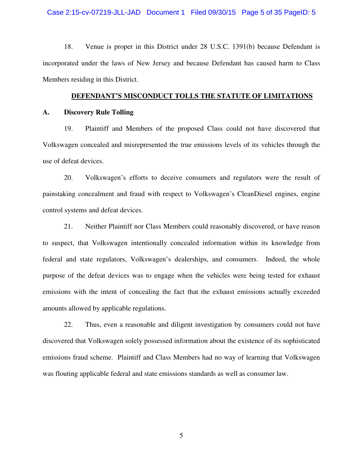## Case 2:15-cv-07219-JLL-JAD Document 1 Filed 09/30/15 Page 5 of 35 PageID: 5

18. Venue is proper in this District under 28 U.S.C. 1391(b) because Defendant is incorporated under the laws of New Jersey and because Defendant has caused harm to Class Members residing in this District.

## **DEFENDANT'S MISCONDUCT TOLLS THE STATUTE OF LIMITATIONS**

#### **A. Discovery Rule Tolling**

19. Plaintiff and Members of the proposed Class could not have discovered that Volkswagen concealed and misrepresented the true emissions levels of its vehicles through the use of defeat devices.

20. Volkswagen's efforts to deceive consumers and regulators were the result of painstaking concealment and fraud with respect to Volkswagen's CleanDiesel engines, engine control systems and defeat devices.

21. Neither Plaintiff nor Class Members could reasonably discovered, or have reason to suspect, that Volkswagen intentionally concealed information within its knowledge from federal and state regulators, Volkswagen's dealerships, and consumers. Indeed, the whole purpose of the defeat devices was to engage when the vehicles were being tested for exhaust emissions with the intent of concealing the fact that the exhaust emissions actually exceeded amounts allowed by applicable regulations.

22. Thus, even a reasonable and diligent investigation by consumers could not have discovered that Volkswagen solely possessed information about the existence of its sophisticated emissions fraud scheme. Plaintiff and Class Members had no way of learning that Volkswagen was flouting applicable federal and state emissions standards as well as consumer law.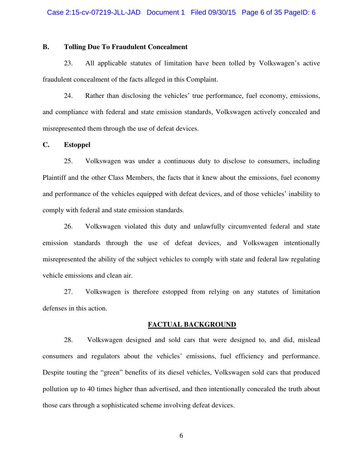## **B. Tolling Due To Fraudulent Concealment**

23. All applicable statutes of limitation have been tolled by Volkswagen's active fraudulent concealment of the facts alleged in this Complaint.

24. Rather than disclosing the vehicles' true performance, fuel economy, emissions, and compliance with federal and state emission standards, Volkswagen actively concealed and misrepresented them through the use of defeat devices.

## **C. Estoppel**

25. Volkswagen was under a continuous duty to disclose to consumers, including Plaintiff and the other Class Members, the facts that it knew about the emissions, fuel economy and performance of the vehicles equipped with defeat devices, and of those vehicles' inability to comply with federal and state emission standards.

26. Volkswagen violated this duty and unlawfully circumvented federal and state emission standards through the use of defeat devices, and Volkswagen intentionally misrepresented the ability of the subject vehicles to comply with state and federal law regulating vehicle emissions and clean air.

27. Volkswagen is therefore estopped from relying on any statutes of limitation defenses in this action.

## **FACTUAL BACKGROUND**

28. Volkswagen designed and sold cars that were designed to, and did, mislead consumers and regulators about the vehicles' emissions, fuel efficiency and performance. Despite touting the "green" benefits of its diesel vehicles, Volkswagen sold cars that produced pollution up to 40 times higher than advertised, and then intentionally concealed the truth about those cars through a sophisticated scheme involving defeat devices.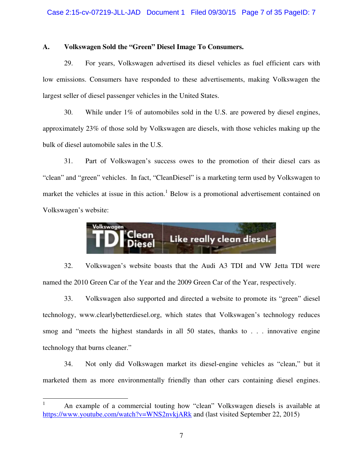## **A. Volkswagen Sold the "Green" Diesel Image To Consumers.**

29. For years, Volkswagen advertised its diesel vehicles as fuel efficient cars with low emissions. Consumers have responded to these advertisements, making Volkswagen the largest seller of diesel passenger vehicles in the United States.

30. While under 1% of automobiles sold in the U.S. are powered by diesel engines, approximately 23% of those sold by Volkswagen are diesels, with those vehicles making up the bulk of diesel automobile sales in the U.S.

31. Part of Volkswagen's success owes to the promotion of their diesel cars as "clean" and "green" vehicles. In fact, "CleanDiesel" is a marketing term used by Volkswagen to market the vehicles at issue in this action.<sup>1</sup> Below is a promotional advertisement contained on Volkswagen's website:



32. Volkswagen's website boasts that the Audi A3 TDI and VW Jetta TDI were named the 2010 Green Car of the Year and the 2009 Green Car of the Year, respectively.

33. Volkswagen also supported and directed a website to promote its "green" diesel technology, www.clearlybetterdiesel.org, which states that Volkswagen's technology reduces smog and "meets the highest standards in all 50 states, thanks to . . . innovative engine technology that burns cleaner."

34. Not only did Volkswagen market its diesel-engine vehicles as "clean," but it marketed them as more environmentally friendly than other cars containing diesel engines.

 $\overline{a}$ 

<sup>1</sup> An example of a commercial touting how "clean" Volkswagen diesels is available at https://www.youtube.com/watch?v=WNS2nvkjARk and (last visited September 22, 2015)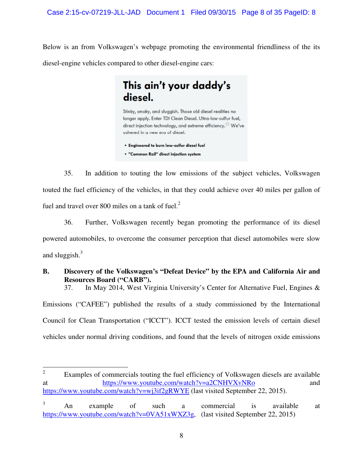Below is an from Volkswagen's webpage promoting the environmental friendliness of the its diesel-engine vehicles compared to other diesel-engine cars:

# This ain't your daddy's diesel.

Stinky, smoky, and sluggish. Those old diesel realities no longer apply. Enter TDI Clean Diesel. Ultra-low-sulfur fuel, direct injection technology, and extreme efficiency. We've ushered in a new era of diesel.

. Engineered to burn low-sulfur diesel fuel

• "Common Rail" direct injection system

35. In addition to touting the low emissions of the subject vehicles, Volkswagen touted the fuel efficiency of the vehicles, in that they could achieve over 40 miles per gallon of fuel and travel over 800 miles on a tank of fuel. $2^2$ 

36. Further, Volkswagen recently began promoting the performance of its diesel powered automobiles, to overcome the consumer perception that diesel automobiles were slow and sluggish. $3$ 

# **B. Discovery of the Volkswagen's "Defeat Device" by the EPA and California Air and Resources Board ("CARB").**

37. In May 2014, West Virginia University's Center for Alternative Fuel, Engines &

Emissions ("CAFEE") published the results of a study commissioned by the International Council for Clean Transportation ("ICCT"). ICCT tested the emission levels of certain diesel vehicles under normal driving conditions, and found that the levels of nitrogen oxide emissions

 $\frac{1}{2}$  Examples of commercials touting the fuel efficiency of Volkswagen diesels are available at https://www.youtube.com/watch?v=a2CNHVXvNRo and https://www.youtube.com/watch?v=wj3if2gRWYE (last visited September 22, 2015).

<sup>3</sup> An example of such a commercial is available at https://www.youtube.com/watch?v=0VA51xWXZ3g, (last visited September 22, 2015)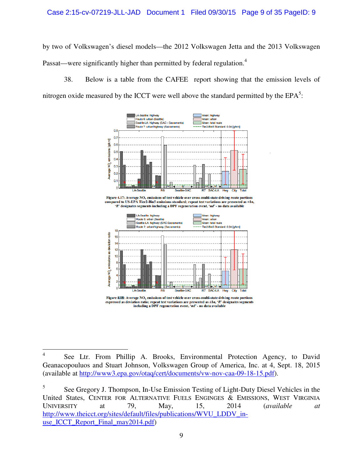by two of Volkswagen's diesel models—the 2012 Volkswagen Jetta and the 2013 Volkswagen Passat—were significantly higher than permitted by federal regulation.<sup>4</sup>

38. Below is a table from the CAFEE report showing that the emission levels of nitrogen oxide measured by the ICCT were well above the standard permitted by the  $EPA<sup>5</sup>$ :



Figure 4.17: Average NO, emissions of test vehicle over cross-multi-state driving route portions compared to US-EPA Tier2-Bin5 emissions standard; repeat test variations are presented as ±10, 'R' designates segments including a DPF regeneration event, 'nd' - no data available



Figure 4.18: Average  $NO<sub>x</sub>$  emissions of test vehicle over cross-multi-state driving route portions expressed as deviation ratio; repeat test variations are presented as  $\pm 1\sigma$ , 'R' designates segments including a DPF regeneration event, 'nd' - no data available

 $\frac{1}{4}$  See Ltr. From Phillip A. Brooks, Environmental Protection Agency, to David Geanacopouluos and Stuart Johnson, Volkswagen Group of America, Inc. at 4, Sept. 18, 2015 (available at http://www3.epa.gov/otaq/cert/documents/vw-nov-caa-09-18-15.pdf).

<sup>5</sup> See Gregory J. Thompson, In-Use Emission Testing of Light-Duty Diesel Vehicles in the United States, CENTER FOR ALTERNATIVE FUELS ENGINGES & EMISSIONS, WEST VIRGINIA UNIVERSITY at 79, May, 15, 2014 (*available at* http://www.theicct.org/sites/default/files/publications/WVU\_LDDV\_inuse\_ICCT\_Report\_Final\_may2014.pdf)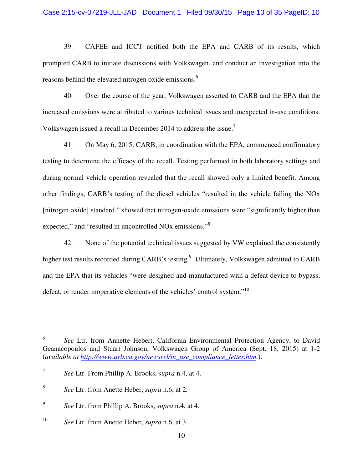39. CAFEE and ICCT notified both the EPA and CARB of its results, which prompted CARB to initiate discussions with Volkswagen, and conduct an investigation into the reasons behind the elevated nitrogen oxide emissions.<sup>6</sup>

40. Over the course of the year, Volkswagen asserted to CARB and the EPA that the increased emissions were attributed to various technical issues and unexpected in-use conditions. Volkswagen issued a recall in December 2014 to address the issue.<sup>7</sup>

41. On May 6, 2015, CARB, in coordination with the EPA, commenced confirmatory testing to determine the efficacy of the recall. Testing performed in both laboratory settings and during normal vehicle operation revealed that the recall showed only a limited benefit. Among other findings, CARB's testing of the diesel vehicles "resulted in the vehicle failing the NOx [nitrogen oxide] standard," showed that nitrogen-oxide emissions were "significantly higher than expected," and "resulted in uncontrolled NO<sub>x</sub> emissions."<sup>8</sup>

42. None of the potential technical issues suggested by VW explained the consistently higher test results recorded during CARB's testing.<sup>9</sup> Ultimately, Volkswagen admitted to CARB and the EPA that its vehicles "were designed and manufactured with a defeat device to bypass, defeat, or render inoperative elements of the vehicles' control system."<sup>10</sup>

 $\frac{1}{6}$  *See* Ltr. from Annette Hebert, California Environmental Protection Agency, to David Geanacopoulos and Stuart Johnson, Volkswagen Group of America (Sept. 18, 2015) at 1-2 (*available at http://www.arb.ca.gov/newsrel/in\_use\_compliance\_letter.htm.*).

<sup>7</sup> *See* Ltr. From Phillip A. Brooks, *supra* n.4, at 4.

<sup>8</sup> *See* Ltr. from Anette Heber, *supra* n.6, at 2*.* 

<sup>9</sup> *See* Ltr. from Phillip A. Brooks, *supra* n.4, at 4.

<sup>10</sup> *See* Ltr. from Anette Heber, *supra* n.6, at 3.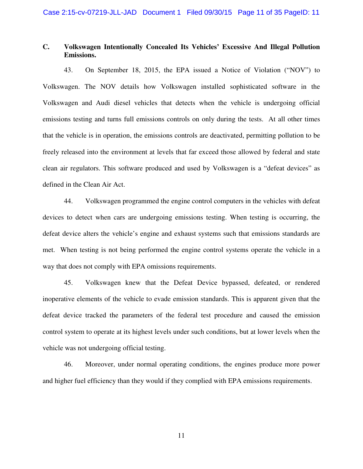## **C. Volkswagen Intentionally Concealed Its Vehicles' Excessive And Illegal Pollution Emissions.**

43. On September 18, 2015, the EPA issued a Notice of Violation ("NOV") to Volkswagen. The NOV details how Volkswagen installed sophisticated software in the Volkswagen and Audi diesel vehicles that detects when the vehicle is undergoing official emissions testing and turns full emissions controls on only during the tests. At all other times that the vehicle is in operation, the emissions controls are deactivated, permitting pollution to be freely released into the environment at levels that far exceed those allowed by federal and state clean air regulators. This software produced and used by Volkswagen is a "defeat devices" as defined in the Clean Air Act.

44. Volkswagen programmed the engine control computers in the vehicles with defeat devices to detect when cars are undergoing emissions testing. When testing is occurring, the defeat device alters the vehicle's engine and exhaust systems such that emissions standards are met. When testing is not being performed the engine control systems operate the vehicle in a way that does not comply with EPA omissions requirements.

45. Volkswagen knew that the Defeat Device bypassed, defeated, or rendered inoperative elements of the vehicle to evade emission standards. This is apparent given that the defeat device tracked the parameters of the federal test procedure and caused the emission control system to operate at its highest levels under such conditions, but at lower levels when the vehicle was not undergoing official testing.

46. Moreover, under normal operating conditions, the engines produce more power and higher fuel efficiency than they would if they complied with EPA emissions requirements.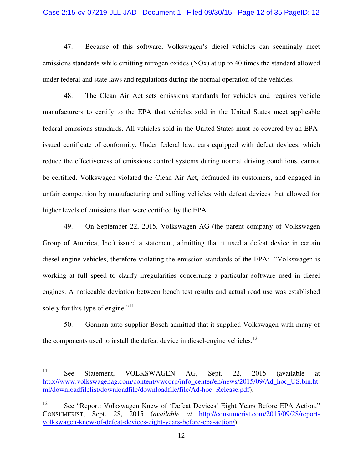## Case 2:15-cv-07219-JLL-JAD Document 1 Filed 09/30/15 Page 12 of 35 PageID: 12

47. Because of this software, Volkswagen's diesel vehicles can seemingly meet emissions standards while emitting nitrogen oxides (NOx) at up to 40 times the standard allowed under federal and state laws and regulations during the normal operation of the vehicles.

48. The Clean Air Act sets emissions standards for vehicles and requires vehicle manufacturers to certify to the EPA that vehicles sold in the United States meet applicable federal emissions standards. All vehicles sold in the United States must be covered by an EPAissued certificate of conformity. Under federal law, cars equipped with defeat devices, which reduce the effectiveness of emissions control systems during normal driving conditions, cannot be certified. Volkswagen violated the Clean Air Act, defrauded its customers, and engaged in unfair competition by manufacturing and selling vehicles with defeat devices that allowed for higher levels of emissions than were certified by the EPA.

49. On September 22, 2015, Volkswagen AG (the parent company of Volkswagen Group of America, Inc.) issued a statement, admitting that it used a defeat device in certain diesel-engine vehicles, therefore violating the emission standards of the EPA: "Volkswagen is working at full speed to clarify irregularities concerning a particular software used in diesel engines. A noticeable deviation between bench test results and actual road use was established solely for this type of engine."<sup>11</sup>

50. German auto supplier Bosch admitted that it supplied Volkswagen with many of the components used to install the defeat device in diesel-engine vehicles.<sup>12</sup>

<sup>11</sup> See Statement, VOLKSWAGEN AG, Sept. 22, 2015 (available at http://www.volkswagenag.com/content/vwcorp/info\_center/en/news/2015/09/Ad\_hoc\_US.bin.ht ml/downloadfilelist/downloadfile/downloadfile/file/Ad-hoc+Release.pdf).

<sup>12</sup> See "Report: Volkswagen Knew of 'Defeat Devices' Eight Years Before EPA Action," CONSUMERIST, Sept. 28, 2015 (*available at* http://consumerist.com/2015/09/28/reportvolkswagen-knew-of-defeat-devices-eight-years-before-epa-action/).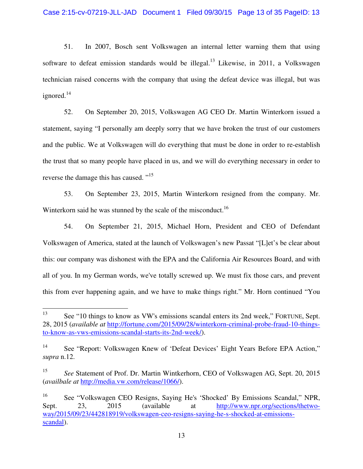51. In 2007, Bosch sent Volkswagen an internal letter warning them that using software to defeat emission standards would be illegal.<sup>13</sup> Likewise, in 2011, a Volkswagen technician raised concerns with the company that using the defeat device was illegal, but was ignored. $14$ 

52. On September 20, 2015, Volkswagen AG CEO Dr. Martin Winterkorn issued a statement, saying "I personally am deeply sorry that we have broken the trust of our customers and the public. We at Volkswagen will do everything that must be done in order to re-establish the trust that so many people have placed in us, and we will do everything necessary in order to reverse the damage this has caused. "<sup>15</sup>

53. On September 23, 2015, Martin Winterkorn resigned from the company. Mr. Winterkorn said he was stunned by the scale of the misconduct.<sup>16</sup>

54. On September 21, 2015, Michael Horn, President and CEO of Defendant Volkswagen of America, stated at the launch of Volkswagen's new Passat "[L]et's be clear about this: our company was dishonest with the EPA and the California Air Resources Board, and with all of you. In my German words, we've totally screwed up. We must fix those cars, and prevent this from ever happening again, and we have to make things right." Mr. Horn continued "You

<sup>13</sup> See "10 things to know as VW's emissions scandal enters its 2nd week," FORTUNE, Sept. 28, 2015 (*available at* http://fortune.com/2015/09/28/winterkorn-criminal-probe-fraud-10-thingsto-know-as-vws-emissions-scandal-starts-its-2nd-week/).

<sup>14</sup> See "Report: Volkswagen Knew of 'Defeat Devices' Eight Years Before EPA Action," *supra* n.12.

<sup>15</sup> *See* Statement of Prof. Dr. Martin Wintkerhorn, CEO of Volkswagen AG, Sept. 20, 2015 (*availbale at* http://media.vw.com/release/1066/).

<sup>16</sup> See "Volkswagen CEO Resigns, Saying He's 'Shocked' By Emissions Scandal," NPR, Sept. 23, 2015 (available at http://www.npr.org/sections/thetwoway/2015/09/23/442818919/volkswagen-ceo-resigns-saying-he-s-shocked-at-emissionsscandal).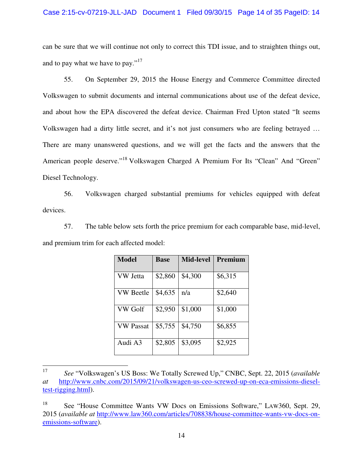## Case 2:15-cv-07219-JLL-JAD Document 1 Filed 09/30/15 Page 14 of 35 PageID: 14

can be sure that we will continue not only to correct this TDI issue, and to straighten things out, and to pay what we have to pay."<sup>17</sup>

55. On September 29, 2015 the House Energy and Commerce Committee directed Volkswagen to submit documents and internal communications about use of the defeat device, and about how the EPA discovered the defeat device. Chairman Fred Upton stated "It seems Volkswagen had a dirty little secret, and it's not just consumers who are feeling betrayed … There are many unanswered questions, and we will get the facts and the answers that the American people deserve."<sup>18</sup> Volkswagen Charged A Premium For Its "Clean" And "Green" Diesel Technology.

56. Volkswagen charged substantial premiums for vehicles equipped with defeat devices.

57. The table below sets forth the price premium for each comparable base, mid-level, and premium trim for each affected model:

| <b>Model</b>     | <b>Base</b> | <b>Mid-level</b> | Premium |
|------------------|-------------|------------------|---------|
| VW Jetta         | \$2,860     | \$4,300          | \$6,315 |
| VW Beetle        | \$4,635     | n/a              | \$2,640 |
| VW Golf          | \$2,950     | \$1,000          | \$1,000 |
| <b>VW Passat</b> | \$5,755     | \$4,750          | \$6,855 |
| Audi A3          | \$2,805     | \$3,095          | \$2,925 |

 $\frac{1}{17}$  *See* "Volkswagen's US Boss: We Totally Screwed Up," CNBC, Sept. 22, 2015 (*available at* http://www.cnbc.com/2015/09/21/volkswagen-us-ceo-screwed-up-on-eca-emissions-dieseltest-rigging.html).

<sup>&</sup>lt;sup>18</sup> See "House Committee Wants VW Docs on Emissions Software," LAW360, Sept. 29, 2015 (*available at* http://www.law360.com/articles/708838/house-committee-wants-vw-docs-onemissions-software).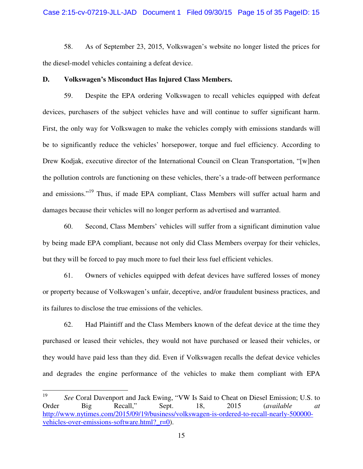## Case 2:15-cv-07219-JLL-JAD Document 1 Filed 09/30/15 Page 15 of 35 PageID: 15

58. As of September 23, 2015, Volkswagen's website no longer listed the prices for the diesel-model vehicles containing a defeat device.

## **D. Volkswagen's Misconduct Has Injured Class Members.**

59. Despite the EPA ordering Volkswagen to recall vehicles equipped with defeat devices, purchasers of the subject vehicles have and will continue to suffer significant harm. First, the only way for Volkswagen to make the vehicles comply with emissions standards will be to significantly reduce the vehicles' horsepower, torque and fuel efficiency. According to Drew Kodjak, executive director of the International Council on Clean Transportation, "[w]hen the pollution controls are functioning on these vehicles, there's a trade-off between performance and emissions."<sup>19</sup> Thus, if made EPA compliant, Class Members will suffer actual harm and damages because their vehicles will no longer perform as advertised and warranted.

60. Second, Class Members' vehicles will suffer from a significant diminution value by being made EPA compliant, because not only did Class Members overpay for their vehicles, but they will be forced to pay much more to fuel their less fuel efficient vehicles.

61. Owners of vehicles equipped with defeat devices have suffered losses of money or property because of Volkswagen's unfair, deceptive, and/or fraudulent business practices, and its failures to disclose the true emissions of the vehicles.

62. Had Plaintiff and the Class Members known of the defeat device at the time they purchased or leased their vehicles, they would not have purchased or leased their vehicles, or they would have paid less than they did. Even if Volkswagen recalls the defeat device vehicles and degrades the engine performance of the vehicles to make them compliant with EPA

 $\frac{1}{19}$  *See* Coral Davenport and Jack Ewing, "VW Is Said to Cheat on Diesel Emission; U.S. to Order Big Recall," Sept. 18, 2015 (*available at*  http://www.nytimes.com/2015/09/19/business/volkswagen-is-ordered-to-recall-nearly-500000 vehicles-over-emissions-software.html?\_r=0).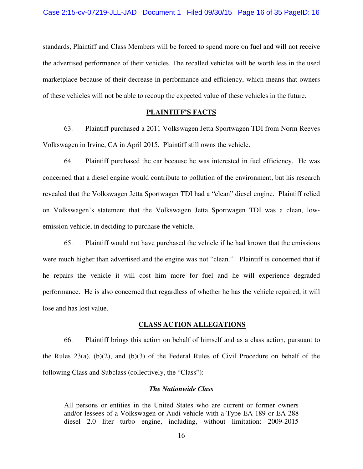standards, Plaintiff and Class Members will be forced to spend more on fuel and will not receive the advertised performance of their vehicles. The recalled vehicles will be worth less in the used marketplace because of their decrease in performance and efficiency, which means that owners of these vehicles will not be able to recoup the expected value of these vehicles in the future.

## **PLAINTIFF'S FACTS**

63. Plaintiff purchased a 2011 Volkswagen Jetta Sportwagen TDI from Norm Reeves Volkswagen in Irvine, CA in April 2015. Plaintiff still owns the vehicle.

64. Plaintiff purchased the car because he was interested in fuel efficiency. He was concerned that a diesel engine would contribute to pollution of the environment, but his research revealed that the Volkswagen Jetta Sportwagen TDI had a "clean" diesel engine. Plaintiff relied on Volkswagen's statement that the Volkswagen Jetta Sportwagen TDI was a clean, lowemission vehicle, in deciding to purchase the vehicle.

65. Plaintiff would not have purchased the vehicle if he had known that the emissions were much higher than advertised and the engine was not "clean." Plaintiff is concerned that if he repairs the vehicle it will cost him more for fuel and he will experience degraded performance. He is also concerned that regardless of whether he has the vehicle repaired, it will lose and has lost value.

## **CLASS ACTION ALLEGATIONS**

66. Plaintiff brings this action on behalf of himself and as a class action, pursuant to the Rules  $23(a)$ ,  $(b)(2)$ , and  $(b)(3)$  of the Federal Rules of Civil Procedure on behalf of the following Class and Subclass (collectively, the "Class"):

## *The Nationwide Class*

All persons or entities in the United States who are current or former owners and/or lessees of a Volkswagen or Audi vehicle with a Type EA 189 or EA 288 diesel 2.0 liter turbo engine, including, without limitation: 2009-2015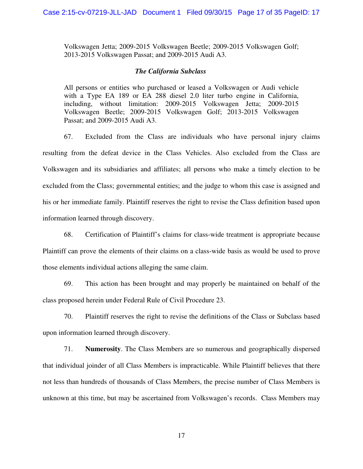Volkswagen Jetta; 2009-2015 Volkswagen Beetle; 2009-2015 Volkswagen Golf; 2013-2015 Volkswagen Passat; and 2009-2015 Audi A3.

## *The California Subclass*

All persons or entities who purchased or leased a Volkswagen or Audi vehicle with a Type EA 189 or EA 288 diesel 2.0 liter turbo engine in California, including, without limitation: 2009-2015 Volkswagen Jetta; 2009-2015 Volkswagen Beetle; 2009-2015 Volkswagen Golf; 2013-2015 Volkswagen Passat; and 2009-2015 Audi A3.

67. Excluded from the Class are individuals who have personal injury claims resulting from the defeat device in the Class Vehicles. Also excluded from the Class are Volkswagen and its subsidiaries and affiliates; all persons who make a timely election to be excluded from the Class; governmental entities; and the judge to whom this case is assigned and his or her immediate family. Plaintiff reserves the right to revise the Class definition based upon information learned through discovery.

68. Certification of Plaintiff's claims for class-wide treatment is appropriate because Plaintiff can prove the elements of their claims on a class-wide basis as would be used to prove those elements individual actions alleging the same claim.

69. This action has been brought and may properly be maintained on behalf of the class proposed herein under Federal Rule of Civil Procedure 23.

70. Plaintiff reserves the right to revise the definitions of the Class or Subclass based upon information learned through discovery.

71. **Numerosity**. The Class Members are so numerous and geographically dispersed that individual joinder of all Class Members is impracticable. While Plaintiff believes that there not less than hundreds of thousands of Class Members, the precise number of Class Members is unknown at this time, but may be ascertained from Volkswagen's records. Class Members may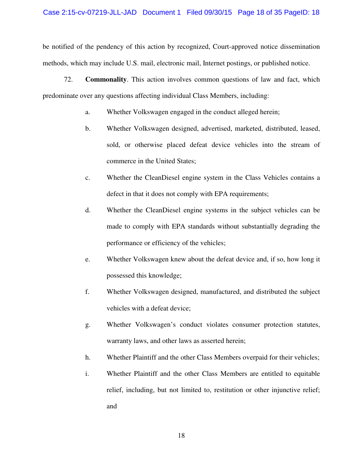be notified of the pendency of this action by recognized, Court-approved notice dissemination methods, which may include U.S. mail, electronic mail, Internet postings, or published notice.

72. **Commonality**. This action involves common questions of law and fact, which predominate over any questions affecting individual Class Members, including:

- a. Whether Volkswagen engaged in the conduct alleged herein;
- b. Whether Volkswagen designed, advertised, marketed, distributed, leased, sold, or otherwise placed defeat device vehicles into the stream of commerce in the United States;
- c. Whether the CleanDiesel engine system in the Class Vehicles contains a defect in that it does not comply with EPA requirements;
- d. Whether the CleanDiesel engine systems in the subject vehicles can be made to comply with EPA standards without substantially degrading the performance or efficiency of the vehicles;
- e. Whether Volkswagen knew about the defeat device and, if so, how long it possessed this knowledge;
- f. Whether Volkswagen designed, manufactured, and distributed the subject vehicles with a defeat device;
- g. Whether Volkswagen's conduct violates consumer protection statutes, warranty laws, and other laws as asserted herein;
- h. Whether Plaintiff and the other Class Members overpaid for their vehicles;
- i. Whether Plaintiff and the other Class Members are entitled to equitable relief, including, but not limited to, restitution or other injunctive relief; and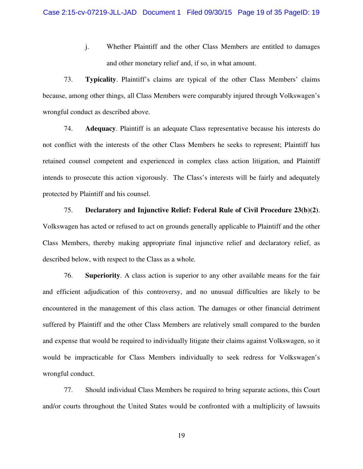j. Whether Plaintiff and the other Class Members are entitled to damages and other monetary relief and, if so, in what amount.

73. **Typicality**. Plaintiff's claims are typical of the other Class Members' claims because, among other things, all Class Members were comparably injured through Volkswagen's wrongful conduct as described above.

74. **Adequacy**. Plaintiff is an adequate Class representative because his interests do not conflict with the interests of the other Class Members he seeks to represent; Plaintiff has retained counsel competent and experienced in complex class action litigation, and Plaintiff intends to prosecute this action vigorously. The Class's interests will be fairly and adequately protected by Plaintiff and his counsel.

75. **Declaratory and Injunctive Relief: Federal Rule of Civil Procedure 23(b)(2)**. Volkswagen has acted or refused to act on grounds generally applicable to Plaintiff and the other Class Members, thereby making appropriate final injunctive relief and declaratory relief, as described below, with respect to the Class as a whole.

76. **Superiority**. A class action is superior to any other available means for the fair and efficient adjudication of this controversy, and no unusual difficulties are likely to be encountered in the management of this class action. The damages or other financial detriment suffered by Plaintiff and the other Class Members are relatively small compared to the burden and expense that would be required to individually litigate their claims against Volkswagen, so it would be impracticable for Class Members individually to seek redress for Volkswagen's wrongful conduct.

77. Should individual Class Members be required to bring separate actions, this Court and/or courts throughout the United States would be confronted with a multiplicity of lawsuits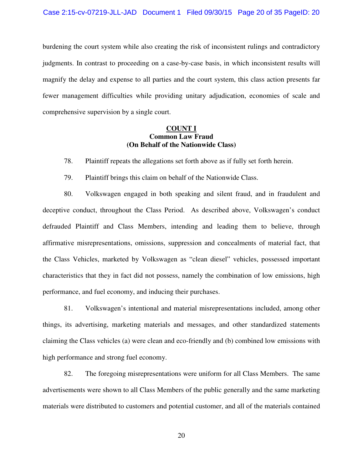burdening the court system while also creating the risk of inconsistent rulings and contradictory judgments. In contrast to proceeding on a case-by-case basis, in which inconsistent results will magnify the delay and expense to all parties and the court system, this class action presents far fewer management difficulties while providing unitary adjudication, economies of scale and comprehensive supervision by a single court.

## **COUNT I Common Law Fraud (On Behalf of the Nationwide Class)**

78. Plaintiff repeats the allegations set forth above as if fully set forth herein.

79. Plaintiff brings this claim on behalf of the Nationwide Class.

80. Volkswagen engaged in both speaking and silent fraud, and in fraudulent and deceptive conduct, throughout the Class Period. As described above, Volkswagen's conduct defrauded Plaintiff and Class Members, intending and leading them to believe, through affirmative misrepresentations, omissions, suppression and concealments of material fact, that the Class Vehicles, marketed by Volkswagen as "clean diesel" vehicles, possessed important characteristics that they in fact did not possess, namely the combination of low emissions, high performance, and fuel economy, and inducing their purchases.

81. Volkswagen's intentional and material misrepresentations included, among other things, its advertising, marketing materials and messages, and other standardized statements claiming the Class vehicles (a) were clean and eco-friendly and (b) combined low emissions with high performance and strong fuel economy.

82. The foregoing misrepresentations were uniform for all Class Members. The same advertisements were shown to all Class Members of the public generally and the same marketing materials were distributed to customers and potential customer, and all of the materials contained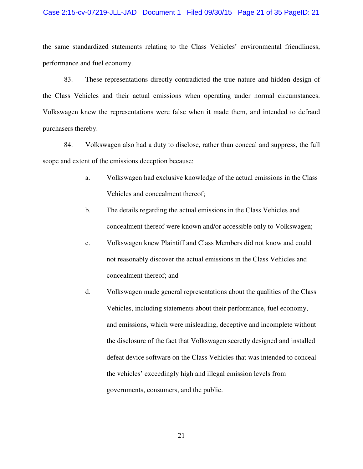## Case 2:15-cv-07219-JLL-JAD Document 1 Filed 09/30/15 Page 21 of 35 PageID: 21

the same standardized statements relating to the Class Vehicles' environmental friendliness, performance and fuel economy.

83. These representations directly contradicted the true nature and hidden design of the Class Vehicles and their actual emissions when operating under normal circumstances. Volkswagen knew the representations were false when it made them, and intended to defraud purchasers thereby.

84. Volkswagen also had a duty to disclose, rather than conceal and suppress, the full scope and extent of the emissions deception because:

- a. Volkswagen had exclusive knowledge of the actual emissions in the Class Vehicles and concealment thereof;
- b. The details regarding the actual emissions in the Class Vehicles and concealment thereof were known and/or accessible only to Volkswagen;
- c. Volkswagen knew Plaintiff and Class Members did not know and could not reasonably discover the actual emissions in the Class Vehicles and concealment thereof; and
- d. Volkswagen made general representations about the qualities of the Class Vehicles, including statements about their performance, fuel economy, and emissions, which were misleading, deceptive and incomplete without the disclosure of the fact that Volkswagen secretly designed and installed defeat device software on the Class Vehicles that was intended to conceal the vehicles' exceedingly high and illegal emission levels from governments, consumers, and the public.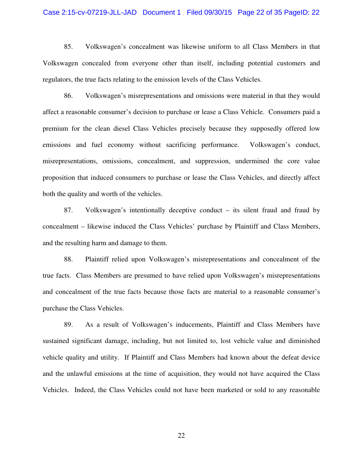## Case 2:15-cv-07219-JLL-JAD Document 1 Filed 09/30/15 Page 22 of 35 PageID: 22

85. Volkswagen's concealment was likewise uniform to all Class Members in that Volkswagen concealed from everyone other than itself, including potential customers and regulators, the true facts relating to the emission levels of the Class Vehicles.

86. Volkswagen's misrepresentations and omissions were material in that they would affect a reasonable consumer's decision to purchase or lease a Class Vehicle. Consumers paid a premium for the clean diesel Class Vehicles precisely because they supposedly offered low emissions and fuel economy without sacrificing performance. Volkswagen's conduct, misrepresentations, omissions, concealment, and suppression, undermined the core value proposition that induced consumers to purchase or lease the Class Vehicles, and directly affect both the quality and worth of the vehicles.

87. Volkswagen's intentionally deceptive conduct – its silent fraud and fraud by concealment – likewise induced the Class Vehicles' purchase by Plaintiff and Class Members, and the resulting harm and damage to them.

88. Plaintiff relied upon Volkswagen's misrepresentations and concealment of the true facts. Class Members are presumed to have relied upon Volkswagen's misrepresentations and concealment of the true facts because those facts are material to a reasonable consumer's purchase the Class Vehicles.

89. As a result of Volkswagen's inducements, Plaintiff and Class Members have sustained significant damage, including, but not limited to, lost vehicle value and diminished vehicle quality and utility. If Plaintiff and Class Members had known about the defeat device and the unlawful emissions at the time of acquisition, they would not have acquired the Class Vehicles. Indeed, the Class Vehicles could not have been marketed or sold to any reasonable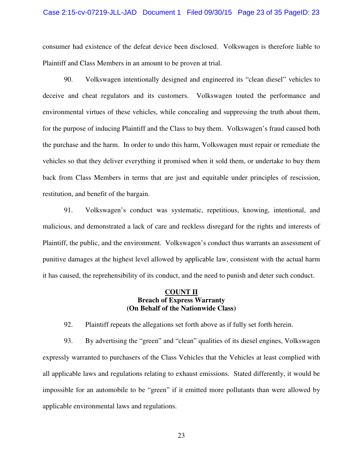## Case 2:15-cv-07219-JLL-JAD Document 1 Filed 09/30/15 Page 23 of 35 PageID: 23

consumer had existence of the defeat device been disclosed. Volkswagen is therefore liable to Plaintiff and Class Members in an amount to be proven at trial.

90. Volkswagen intentionally designed and engineered its "clean diesel" vehicles to deceive and cheat regulators and its customers. Volkswagen touted the performance and environmental virtues of these vehicles, while concealing and suppressing the truth about them, for the purpose of inducing Plaintiff and the Class to buy them. Volkswagen's fraud caused both the purchase and the harm. In order to undo this harm, Volkswagen must repair or remediate the vehicles so that they deliver everything it promised when it sold them, or undertake to buy them back from Class Members in terms that are just and equitable under principles of rescission, restitution, and benefit of the bargain.

91. Volkswagen's conduct was systematic, repetitious, knowing, intentional, and malicious, and demonstrated a lack of care and reckless disregard for the rights and interests of Plaintiff, the public, and the environment. Volkswagen's conduct thus warrants an assessment of punitive damages at the highest level allowed by applicable law, consistent with the actual harm it has caused, the reprehensibility of its conduct, and the need to punish and deter such conduct.

## **COUNT II Breach of Express Warranty (On Behalf of the Nationwide Class)**

92. Plaintiff repeats the allegations set forth above as if fully set forth herein.

93. By advertising the "green" and "clean" qualities of its diesel engines, Volkswagen expressly warranted to purchasers of the Class Vehicles that the Vehicles at least complied with all applicable laws and regulations relating to exhaust emissions. Stated differently, it would be impossible for an automobile to be "green" if it emitted more pollutants than were allowed by applicable environmental laws and regulations.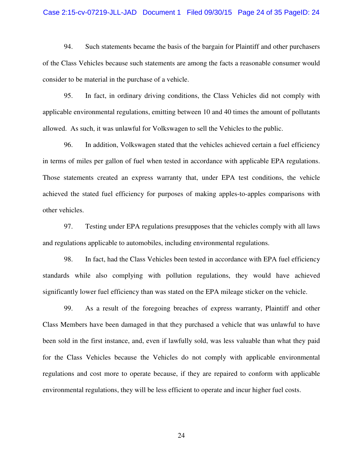## Case 2:15-cv-07219-JLL-JAD Document 1 Filed 09/30/15 Page 24 of 35 PageID: 24

94. Such statements became the basis of the bargain for Plaintiff and other purchasers of the Class Vehicles because such statements are among the facts a reasonable consumer would consider to be material in the purchase of a vehicle.

95. In fact, in ordinary driving conditions, the Class Vehicles did not comply with applicable environmental regulations, emitting between 10 and 40 times the amount of pollutants allowed. As such, it was unlawful for Volkswagen to sell the Vehicles to the public.

96. In addition, Volkswagen stated that the vehicles achieved certain a fuel efficiency in terms of miles per gallon of fuel when tested in accordance with applicable EPA regulations. Those statements created an express warranty that, under EPA test conditions, the vehicle achieved the stated fuel efficiency for purposes of making apples-to-apples comparisons with other vehicles.

97. Testing under EPA regulations presupposes that the vehicles comply with all laws and regulations applicable to automobiles, including environmental regulations.

98. In fact, had the Class Vehicles been tested in accordance with EPA fuel efficiency standards while also complying with pollution regulations, they would have achieved significantly lower fuel efficiency than was stated on the EPA mileage sticker on the vehicle.

99. As a result of the foregoing breaches of express warranty, Plaintiff and other Class Members have been damaged in that they purchased a vehicle that was unlawful to have been sold in the first instance, and, even if lawfully sold, was less valuable than what they paid for the Class Vehicles because the Vehicles do not comply with applicable environmental regulations and cost more to operate because, if they are repaired to conform with applicable environmental regulations, they will be less efficient to operate and incur higher fuel costs.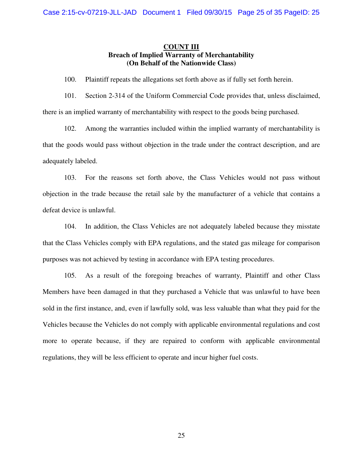## **COUNT III Breach of Implied Warranty of Merchantability (On Behalf of the Nationwide Class)**

100. Plaintiff repeats the allegations set forth above as if fully set forth herein.

101. Section 2-314 of the Uniform Commercial Code provides that, unless disclaimed, there is an implied warranty of merchantability with respect to the goods being purchased.

102. Among the warranties included within the implied warranty of merchantability is that the goods would pass without objection in the trade under the contract description, and are adequately labeled.

103. For the reasons set forth above, the Class Vehicles would not pass without objection in the trade because the retail sale by the manufacturer of a vehicle that contains a defeat device is unlawful.

104. In addition, the Class Vehicles are not adequately labeled because they misstate that the Class Vehicles comply with EPA regulations, and the stated gas mileage for comparison purposes was not achieved by testing in accordance with EPA testing procedures.

105. As a result of the foregoing breaches of warranty, Plaintiff and other Class Members have been damaged in that they purchased a Vehicle that was unlawful to have been sold in the first instance, and, even if lawfully sold, was less valuable than what they paid for the Vehicles because the Vehicles do not comply with applicable environmental regulations and cost more to operate because, if they are repaired to conform with applicable environmental regulations, they will be less efficient to operate and incur higher fuel costs.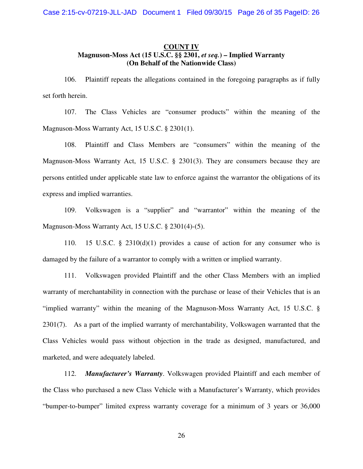## **COUNT IV Magnuson-Moss Act (15 U.S.C. §§ 2301,** *et seq.***) – Implied Warranty (On Behalf of the Nationwide Class)**

106. Plaintiff repeats the allegations contained in the foregoing paragraphs as if fully set forth herein.

107. The Class Vehicles are "consumer products" within the meaning of the Magnuson-Moss Warranty Act, 15 U.S.C. § 2301(1).

108. Plaintiff and Class Members are "consumers" within the meaning of the Magnuson-Moss Warranty Act, 15 U.S.C. § 2301(3). They are consumers because they are persons entitled under applicable state law to enforce against the warrantor the obligations of its express and implied warranties.

109. Volkswagen is a "supplier" and "warrantor" within the meaning of the Magnuson-Moss Warranty Act, 15 U.S.C. § 2301(4)-(5).

110. 15 U.S.C. § 2310(d)(1) provides a cause of action for any consumer who is damaged by the failure of a warrantor to comply with a written or implied warranty.

111. Volkswagen provided Plaintiff and the other Class Members with an implied warranty of merchantability in connection with the purchase or lease of their Vehicles that is an "implied warranty" within the meaning of the Magnuson-Moss Warranty Act, 15 U.S.C. § 2301(7). As a part of the implied warranty of merchantability, Volkswagen warranted that the Class Vehicles would pass without objection in the trade as designed, manufactured, and marketed, and were adequately labeled.

112. *Manufacturer's Warranty*. Volkswagen provided Plaintiff and each member of the Class who purchased a new Class Vehicle with a Manufacturer's Warranty, which provides "bumper-to-bumper" limited express warranty coverage for a minimum of 3 years or 36,000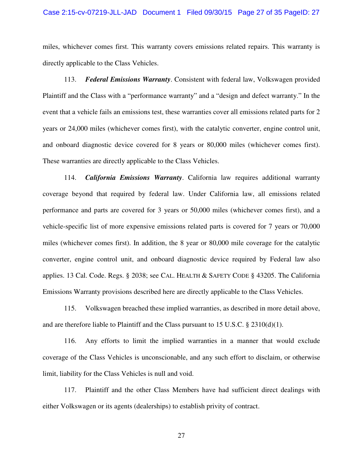## Case 2:15-cv-07219-JLL-JAD Document 1 Filed 09/30/15 Page 27 of 35 PageID: 27

miles, whichever comes first. This warranty covers emissions related repairs. This warranty is directly applicable to the Class Vehicles.

113. *Federal Emissions Warranty*. Consistent with federal law, Volkswagen provided Plaintiff and the Class with a "performance warranty" and a "design and defect warranty." In the event that a vehicle fails an emissions test, these warranties cover all emissions related parts for 2 years or 24,000 miles (whichever comes first), with the catalytic converter, engine control unit, and onboard diagnostic device covered for 8 years or 80,000 miles (whichever comes first). These warranties are directly applicable to the Class Vehicles.

114. *California Emissions Warranty*. California law requires additional warranty coverage beyond that required by federal law. Under California law, all emissions related performance and parts are covered for 3 years or 50,000 miles (whichever comes first), and a vehicle-specific list of more expensive emissions related parts is covered for 7 years or 70,000 miles (whichever comes first). In addition, the 8 year or 80,000 mile coverage for the catalytic converter, engine control unit, and onboard diagnostic device required by Federal law also applies. 13 Cal. Code. Regs. § 2038; see CAL. HEALTH & SAFETY CODE § 43205. The California Emissions Warranty provisions described here are directly applicable to the Class Vehicles.

115. Volkswagen breached these implied warranties, as described in more detail above, and are therefore liable to Plaintiff and the Class pursuant to 15 U.S.C.  $\S$  2310(d)(1).

116. Any efforts to limit the implied warranties in a manner that would exclude coverage of the Class Vehicles is unconscionable, and any such effort to disclaim, or otherwise limit, liability for the Class Vehicles is null and void.

117. Plaintiff and the other Class Members have had sufficient direct dealings with either Volkswagen or its agents (dealerships) to establish privity of contract.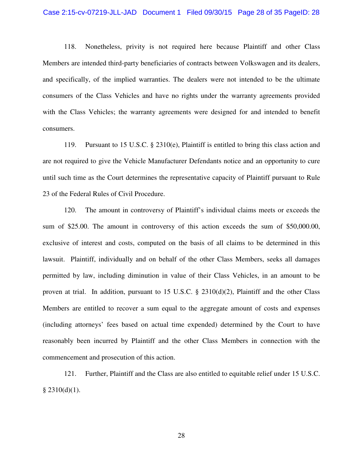## Case 2:15-cv-07219-JLL-JAD Document 1 Filed 09/30/15 Page 28 of 35 PageID: 28

118. Nonetheless, privity is not required here because Plaintiff and other Class Members are intended third-party beneficiaries of contracts between Volkswagen and its dealers, and specifically, of the implied warranties. The dealers were not intended to be the ultimate consumers of the Class Vehicles and have no rights under the warranty agreements provided with the Class Vehicles; the warranty agreements were designed for and intended to benefit consumers.

119. Pursuant to 15 U.S.C. § 2310(e), Plaintiff is entitled to bring this class action and are not required to give the Vehicle Manufacturer Defendants notice and an opportunity to cure until such time as the Court determines the representative capacity of Plaintiff pursuant to Rule 23 of the Federal Rules of Civil Procedure.

120. The amount in controversy of Plaintiff's individual claims meets or exceeds the sum of \$25.00. The amount in controversy of this action exceeds the sum of \$50,000.00, exclusive of interest and costs, computed on the basis of all claims to be determined in this lawsuit. Plaintiff, individually and on behalf of the other Class Members, seeks all damages permitted by law, including diminution in value of their Class Vehicles, in an amount to be proven at trial. In addition, pursuant to 15 U.S.C. § 2310(d)(2), Plaintiff and the other Class Members are entitled to recover a sum equal to the aggregate amount of costs and expenses (including attorneys' fees based on actual time expended) determined by the Court to have reasonably been incurred by Plaintiff and the other Class Members in connection with the commencement and prosecution of this action.

121. Further, Plaintiff and the Class are also entitled to equitable relief under 15 U.S.C.  $§$  2310(d)(1).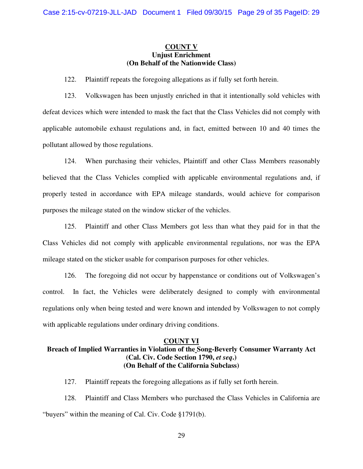## **COUNT V Unjust Enrichment (On Behalf of the Nationwide Class)**

122. Plaintiff repeats the foregoing allegations as if fully set forth herein.

123. Volkswagen has been unjustly enriched in that it intentionally sold vehicles with defeat devices which were intended to mask the fact that the Class Vehicles did not comply with applicable automobile exhaust regulations and, in fact, emitted between 10 and 40 times the pollutant allowed by those regulations.

124. When purchasing their vehicles, Plaintiff and other Class Members reasonably believed that the Class Vehicles complied with applicable environmental regulations and, if properly tested in accordance with EPA mileage standards, would achieve for comparison purposes the mileage stated on the window sticker of the vehicles.

125. Plaintiff and other Class Members got less than what they paid for in that the Class Vehicles did not comply with applicable environmental regulations, nor was the EPA mileage stated on the sticker usable for comparison purposes for other vehicles.

126. The foregoing did not occur by happenstance or conditions out of Volkswagen's control. In fact, the Vehicles were deliberately designed to comply with environmental regulations only when being tested and were known and intended by Volkswagen to not comply with applicable regulations under ordinary driving conditions.

## **COUNT VI**

## **Breach of Implied Warranties in Violation of the Song-Beverly Consumer Warranty Act (Cal. Civ. Code Section 1790,** *et seq***.) (On Behalf of the California Subclass)**

127. Plaintiff repeats the foregoing allegations as if fully set forth herein.

128. Plaintiff and Class Members who purchased the Class Vehicles in California are "buyers" within the meaning of Cal. Civ. Code §1791(b).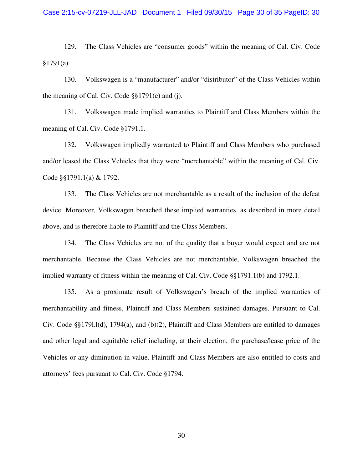129. The Class Vehicles are "consumer goods" within the meaning of Cal. Civ. Code  $§1791(a).$ 

130. Volkswagen is a "manufacturer" and/or "distributor" of the Class Vehicles within the meaning of Cal. Civ. Code §§1791(e) and (j).

131. Volkswagen made implied warranties to Plaintiff and Class Members within the meaning of Cal. Civ. Code §1791.1.

132. Volkswagen impliedly warranted to Plaintiff and Class Members who purchased and/or leased the Class Vehicles that they were "merchantable" within the meaning of Cal. Civ. Code §§1791.1(a) & 1792.

133. The Class Vehicles are not merchantable as a result of the inclusion of the defeat device. Moreover, Volkswagen breached these implied warranties, as described in more detail above, and is therefore liable to Plaintiff and the Class Members.

134. The Class Vehicles are not of the quality that a buyer would expect and are not merchantable. Because the Class Vehicles are not merchantable, Volkswagen breached the implied warranty of fitness within the meaning of Cal. Civ. Code §§1791.1(b) and 1792.1.

135. As a proximate result of Volkswagen's breach of the implied warranties of merchantability and fitness, Plaintiff and Class Members sustained damages. Pursuant to Cal. Civ. Code §§179l.l(d), 1794(a), and (b)(2), Plaintiff and Class Members are entitled to damages and other legal and equitable relief including, at their election, the purchase/lease price of the Vehicles or any diminution in value. Plaintiff and Class Members are also entitled to costs and attorneys' fees pursuant to Cal. Civ. Code §1794.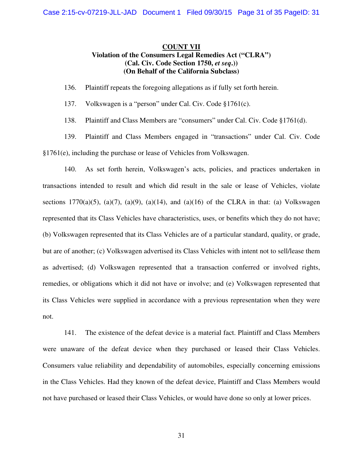## **COUNT VII Violation of the Consumers Legal Remedies Act ("CLRA") (Cal. Civ. Code Section 1750,** *et seq***.)) (On Behalf of the California Subclass)**

136. Plaintiff repeats the foregoing allegations as if fully set forth herein.

137. Volkswagen is a "person" under Cal. Civ. Code §1761(c).

138. Plaintiff and Class Members are "consumers" under Cal. Civ. Code §1761(d).

139. Plaintiff and Class Members engaged in "transactions" under Cal. Civ. Code §1761(e), including the purchase or lease of Vehicles from Volkswagen.

140. As set forth herein, Volkswagen's acts, policies, and practices undertaken in transactions intended to result and which did result in the sale or lease of Vehicles, violate sections 1770(a)(5), (a)(7), (a)(9), (a)(14), and (a)(16) of the CLRA in that: (a) Volkswagen represented that its Class Vehicles have characteristics, uses, or benefits which they do not have; (b) Volkswagen represented that its Class Vehicles are of a particular standard, quality, or grade, but are of another; (c) Volkswagen advertised its Class Vehicles with intent not to sell/lease them as advertised; (d) Volkswagen represented that a transaction conferred or involved rights, remedies, or obligations which it did not have or involve; and (e) Volkswagen represented that its Class Vehicles were supplied in accordance with a previous representation when they were not.

141. The existence of the defeat device is a material fact. Plaintiff and Class Members were unaware of the defeat device when they purchased or leased their Class Vehicles. Consumers value reliability and dependability of automobiles, especially concerning emissions in the Class Vehicles. Had they known of the defeat device, Plaintiff and Class Members would not have purchased or leased their Class Vehicles, or would have done so only at lower prices.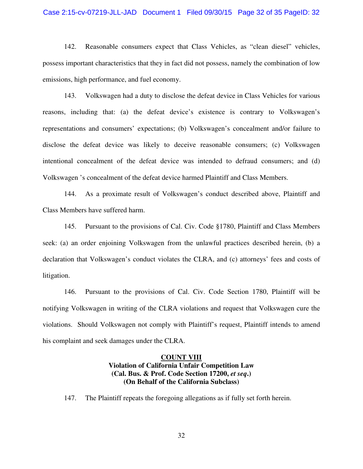## Case 2:15-cv-07219-JLL-JAD Document 1 Filed 09/30/15 Page 32 of 35 PageID: 32

142. Reasonable consumers expect that Class Vehicles, as "clean diesel" vehicles, possess important characteristics that they in fact did not possess, namely the combination of low emissions, high performance, and fuel economy.

143. Volkswagen had a duty to disclose the defeat device in Class Vehicles for various reasons, including that: (a) the defeat device's existence is contrary to Volkswagen's representations and consumers' expectations; (b) Volkswagen's concealment and/or failure to disclose the defeat device was likely to deceive reasonable consumers; (c) Volkswagen intentional concealment of the defeat device was intended to defraud consumers; and (d) Volkswagen 's concealment of the defeat device harmed Plaintiff and Class Members.

144. As a proximate result of Volkswagen's conduct described above, Plaintiff and Class Members have suffered harm.

145. Pursuant to the provisions of Cal. Civ. Code §1780, Plaintiff and Class Members seek: (a) an order enjoining Volkswagen from the unlawful practices described herein, (b) a declaration that Volkswagen's conduct violates the CLRA, and (c) attorneys' fees and costs of litigation.

146. Pursuant to the provisions of Cal. Civ. Code Section 1780, Plaintiff will be notifying Volkswagen in writing of the CLRA violations and request that Volkswagen cure the violations. Should Volkswagen not comply with Plaintiff's request, Plaintiff intends to amend his complaint and seek damages under the CLRA.

## **COUNT VIII Violation of California Unfair Competition Law (Cal. Bus. & Prof. Code Section 17200,** *et seq***.) (On Behalf of the California Subclass)**

147. The Plaintiff repeats the foregoing allegations as if fully set forth herein.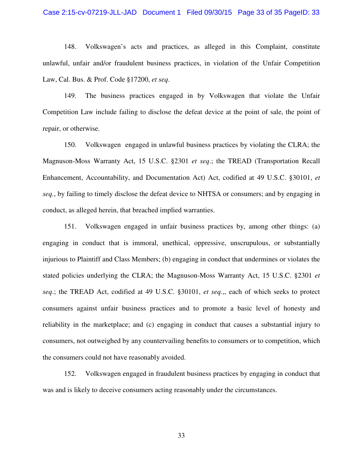## Case 2:15-cv-07219-JLL-JAD Document 1 Filed 09/30/15 Page 33 of 35 PageID: 33

148. Volkswagen's acts and practices, as alleged in this Complaint, constitute unlawful, unfair and/or fraudulent business practices, in violation of the Unfair Competition Law, Cal. Bus. & Prof. Code §17200, *et seq*.

149. The business practices engaged in by Volkswagen that violate the Unfair Competition Law include failing to disclose the defeat device at the point of sale, the point of repair, or otherwise.

150. Volkswagen engaged in unlawful business practices by violating the CLRA; the Magnuson-Moss Warranty Act, 15 U.S.C. §2301 *et seq*.; the TREAD (Transportation Recall Enhancement, Accountability, and Documentation Act) Act, codified at 49 U.S.C. §30101, *et seq.*, by failing to timely disclose the defeat device to NHTSA or consumers; and by engaging in conduct, as alleged herein, that breached implied warranties.

151. Volkswagen engaged in unfair business practices by, among other things: (a) engaging in conduct that is immoral, unethical, oppressive, unscrupulous, or substantially injurious to Plaintiff and Class Members; (b) engaging in conduct that undermines or violates the stated policies underlying the CLRA; the Magnuson-Moss Warranty Act, 15 U.S.C. §2301 *et seq*.; the TREAD Act, codified at 49 U.S.C. §30101, *et seq.*,, each of which seeks to protect consumers against unfair business practices and to promote a basic level of honesty and reliability in the marketplace; and (c) engaging in conduct that causes a substantial injury to consumers, not outweighed by any countervailing benefits to consumers or to competition, which the consumers could not have reasonably avoided.

152. Volkswagen engaged in fraudulent business practices by engaging in conduct that was and is likely to deceive consumers acting reasonably under the circumstances.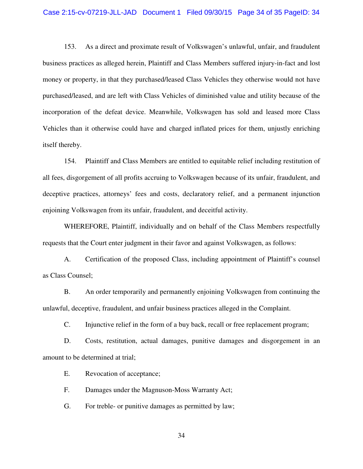## Case 2:15-cv-07219-JLL-JAD Document 1 Filed 09/30/15 Page 34 of 35 PageID: 34

153. As a direct and proximate result of Volkswagen's unlawful, unfair, and fraudulent business practices as alleged herein, Plaintiff and Class Members suffered injury-in-fact and lost money or property, in that they purchased/leased Class Vehicles they otherwise would not have purchased/leased, and are left with Class Vehicles of diminished value and utility because of the incorporation of the defeat device. Meanwhile, Volkswagen has sold and leased more Class Vehicles than it otherwise could have and charged inflated prices for them, unjustly enriching itself thereby.

154. Plaintiff and Class Members are entitled to equitable relief including restitution of all fees, disgorgement of all profits accruing to Volkswagen because of its unfair, fraudulent, and deceptive practices, attorneys' fees and costs, declaratory relief, and a permanent injunction enjoining Volkswagen from its unfair, fraudulent, and deceitful activity.

WHEREFORE, Plaintiff, individually and on behalf of the Class Members respectfully requests that the Court enter judgment in their favor and against Volkswagen, as follows:

A. Certification of the proposed Class, including appointment of Plaintiff's counsel as Class Counsel;

B. An order temporarily and permanently enjoining Volkswagen from continuing the unlawful, deceptive, fraudulent, and unfair business practices alleged in the Complaint.

C. Injunctive relief in the form of a buy back, recall or free replacement program;

D. Costs, restitution, actual damages, punitive damages and disgorgement in an amount to be determined at trial;

E. Revocation of acceptance;

F. Damages under the Magnuson-Moss Warranty Act;

G. For treble- or punitive damages as permitted by law;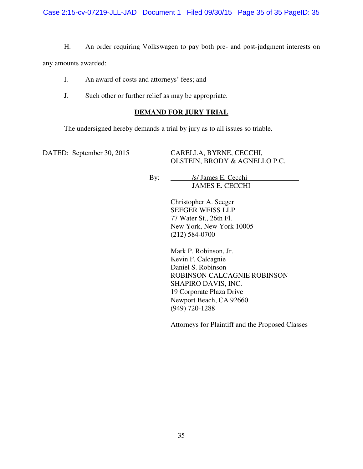H. An order requiring Volkswagen to pay both pre- and post-judgment interests on

any amounts awarded;

- I. An award of costs and attorneys' fees; and
- J. Such other or further relief as may be appropriate.

## **DEMAND FOR JURY TRIAL**

The undersigned hereby demands a trial by jury as to all issues so triable.

DATED: September 30, 2015 CARELLA, BYRNE, CECCHI, OLSTEIN, BRODY & AGNELLO P.C.

> By: /s/ James E. Cecchi JAMES E. CECCHI

> > Christopher A. Seeger SEEGER WEISS LLP 77 Water St., 26th Fl. New York, New York 10005 (212) 584-0700

Mark P. Robinson, Jr. Kevin F. Calcagnie Daniel S. Robinson ROBINSON CALCAGNIE ROBINSON SHAPIRO DAVIS, INC. 19 Corporate Plaza Drive Newport Beach, CA 92660 (949) 720-1288

Attorneys for Plaintiff and the Proposed Classes